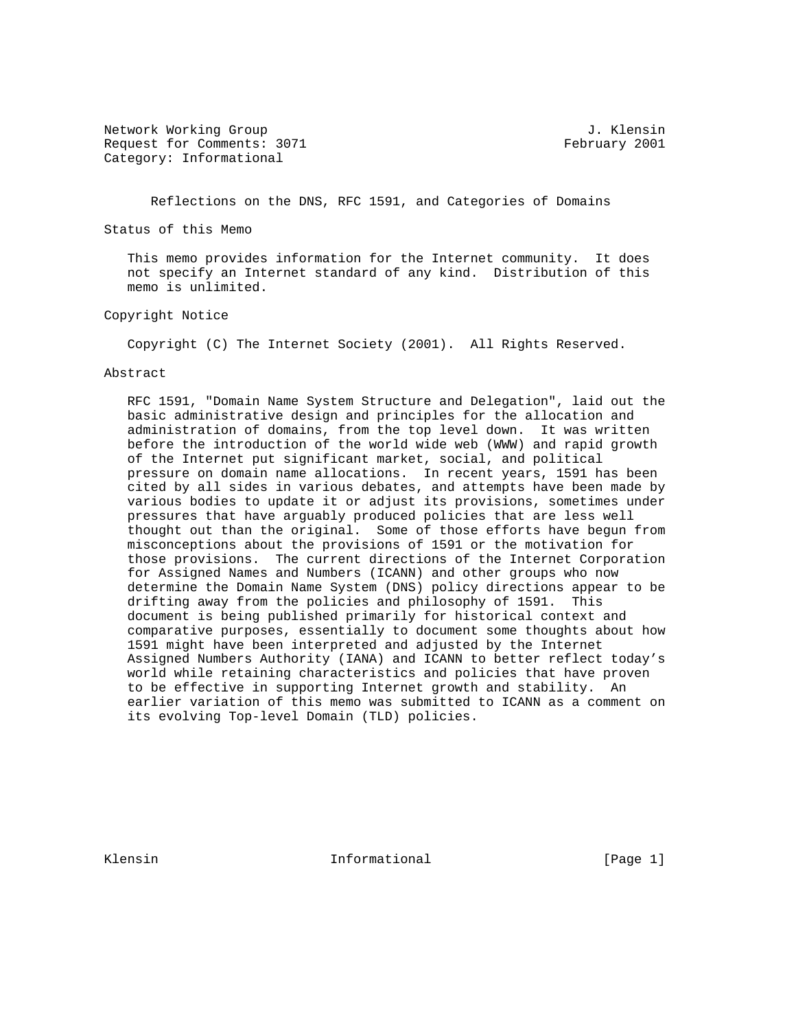Network Working Group 3. The Second Second Second Second Second Second Second Second Second Second Second Second Second Second Second Second Second Second Second Second Second Second Second Second Second Second Second Seco Request for Comments: 3071 February 2001 Category: Informational

Reflections on the DNS, RFC 1591, and Categories of Domains

Status of this Memo

 This memo provides information for the Internet community. It does not specify an Internet standard of any kind. Distribution of this memo is unlimited.

Copyright Notice

Copyright (C) The Internet Society (2001). All Rights Reserved.

## Abstract

 RFC 1591, "Domain Name System Structure and Delegation", laid out the basic administrative design and principles for the allocation and administration of domains, from the top level down. It was written before the introduction of the world wide web (WWW) and rapid growth of the Internet put significant market, social, and political pressure on domain name allocations. In recent years, 1591 has been cited by all sides in various debates, and attempts have been made by various bodies to update it or adjust its provisions, sometimes under pressures that have arguably produced policies that are less well thought out than the original. Some of those efforts have begun from misconceptions about the provisions of 1591 or the motivation for those provisions. The current directions of the Internet Corporation for Assigned Names and Numbers (ICANN) and other groups who now determine the Domain Name System (DNS) policy directions appear to be drifting away from the policies and philosophy of 1591. This document is being published primarily for historical context and comparative purposes, essentially to document some thoughts about how 1591 might have been interpreted and adjusted by the Internet Assigned Numbers Authority (IANA) and ICANN to better reflect today's world while retaining characteristics and policies that have proven to be effective in supporting Internet growth and stability. An earlier variation of this memo was submitted to ICANN as a comment on its evolving Top-level Domain (TLD) policies.

Klensin 10 (Page 1) The Informational The Informational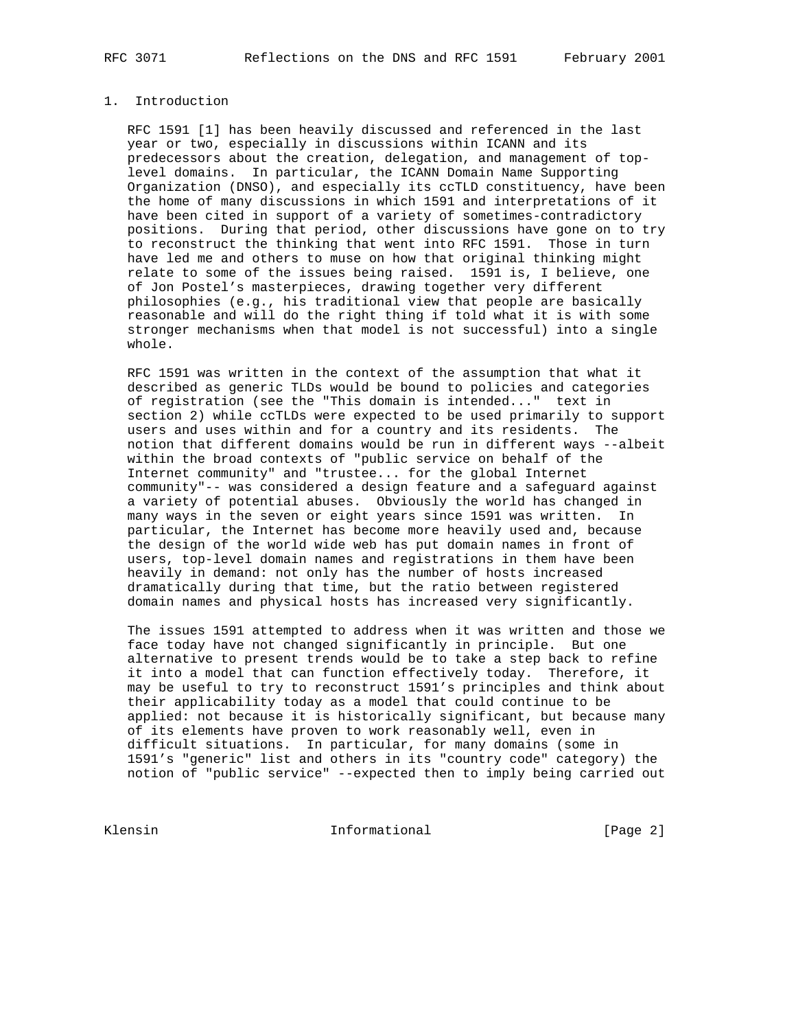## 1. Introduction

 RFC 1591 [1] has been heavily discussed and referenced in the last year or two, especially in discussions within ICANN and its predecessors about the creation, delegation, and management of top level domains. In particular, the ICANN Domain Name Supporting Organization (DNSO), and especially its ccTLD constituency, have been the home of many discussions in which 1591 and interpretations of it have been cited in support of a variety of sometimes-contradictory positions. During that period, other discussions have gone on to try to reconstruct the thinking that went into RFC 1591. Those in turn have led me and others to muse on how that original thinking might relate to some of the issues being raised. 1591 is, I believe, one of Jon Postel's masterpieces, drawing together very different philosophies (e.g., his traditional view that people are basically reasonable and will do the right thing if told what it is with some stronger mechanisms when that model is not successful) into a single whole.

 RFC 1591 was written in the context of the assumption that what it described as generic TLDs would be bound to policies and categories of registration (see the "This domain is intended..." text in section 2) while ccTLDs were expected to be used primarily to support users and uses within and for a country and its residents. The notion that different domains would be run in different ways --albeit within the broad contexts of "public service on behalf of the Internet community" and "trustee... for the global Internet community"-- was considered a design feature and a safeguard against a variety of potential abuses. Obviously the world has changed in many ways in the seven or eight years since 1591 was written. In particular, the Internet has become more heavily used and, because the design of the world wide web has put domain names in front of users, top-level domain names and registrations in them have been heavily in demand: not only has the number of hosts increased dramatically during that time, but the ratio between registered domain names and physical hosts has increased very significantly.

 The issues 1591 attempted to address when it was written and those we face today have not changed significantly in principle. But one alternative to present trends would be to take a step back to refine it into a model that can function effectively today. Therefore, it may be useful to try to reconstruct 1591's principles and think about their applicability today as a model that could continue to be applied: not because it is historically significant, but because many of its elements have proven to work reasonably well, even in difficult situations. In particular, for many domains (some in 1591's "generic" list and others in its "country code" category) the notion of "public service" --expected then to imply being carried out

Klensin 10 Informational 11 [Page 2]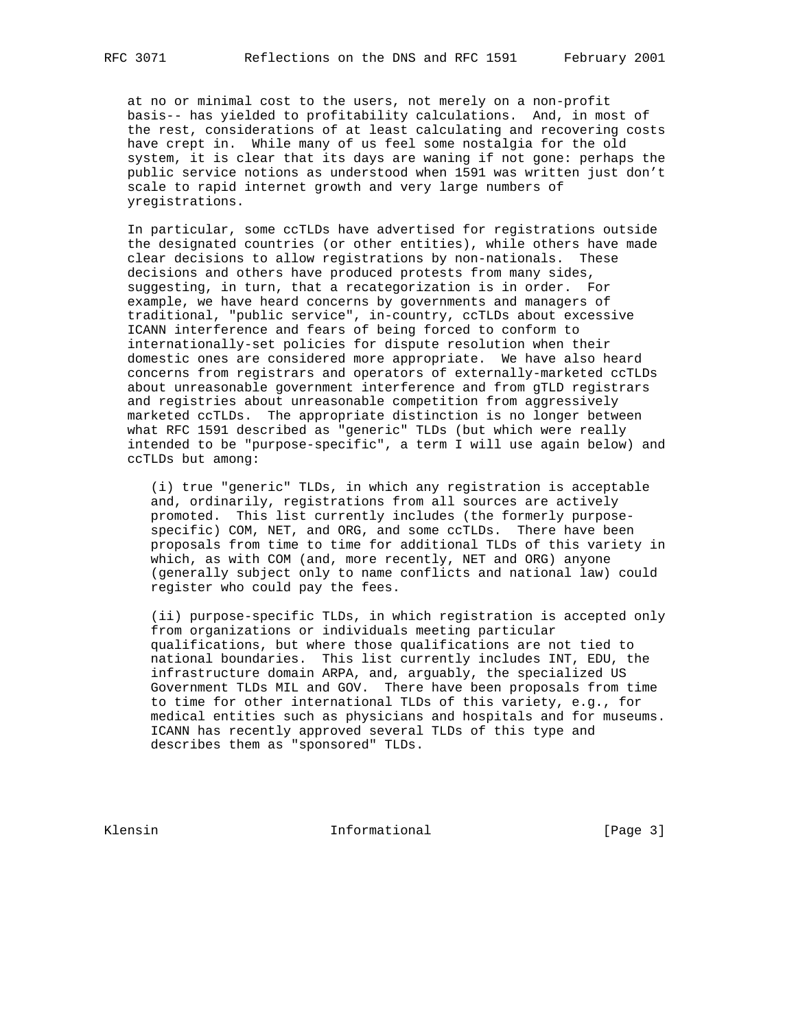at no or minimal cost to the users, not merely on a non-profit basis-- has yielded to profitability calculations. And, in most of the rest, considerations of at least calculating and recovering costs have crept in. While many of us feel some nostalgia for the old system, it is clear that its days are waning if not gone: perhaps the public service notions as understood when 1591 was written just don't scale to rapid internet growth and very large numbers of yregistrations.

 In particular, some ccTLDs have advertised for registrations outside the designated countries (or other entities), while others have made clear decisions to allow registrations by non-nationals. These decisions and others have produced protests from many sides, suggesting, in turn, that a recategorization is in order. For example, we have heard concerns by governments and managers of traditional, "public service", in-country, ccTLDs about excessive ICANN interference and fears of being forced to conform to internationally-set policies for dispute resolution when their domestic ones are considered more appropriate. We have also heard concerns from registrars and operators of externally-marketed ccTLDs about unreasonable government interference and from gTLD registrars and registries about unreasonable competition from aggressively marketed ccTLDs. The appropriate distinction is no longer between what RFC 1591 described as "generic" TLDs (but which were really intended to be "purpose-specific", a term I will use again below) and ccTLDs but among:

 (i) true "generic" TLDs, in which any registration is acceptable and, ordinarily, registrations from all sources are actively promoted. This list currently includes (the formerly purpose specific) COM, NET, and ORG, and some ccTLDs. There have been proposals from time to time for additional TLDs of this variety in which, as with COM (and, more recently, NET and ORG) anyone (generally subject only to name conflicts and national law) could register who could pay the fees.

 (ii) purpose-specific TLDs, in which registration is accepted only from organizations or individuals meeting particular qualifications, but where those qualifications are not tied to national boundaries. This list currently includes INT, EDU, the infrastructure domain ARPA, and, arguably, the specialized US Government TLDs MIL and GOV. There have been proposals from time to time for other international TLDs of this variety, e.g., for medical entities such as physicians and hospitals and for museums. ICANN has recently approved several TLDs of this type and describes them as "sponsored" TLDs.

Klensin 10 Informational 1999 [Page 3]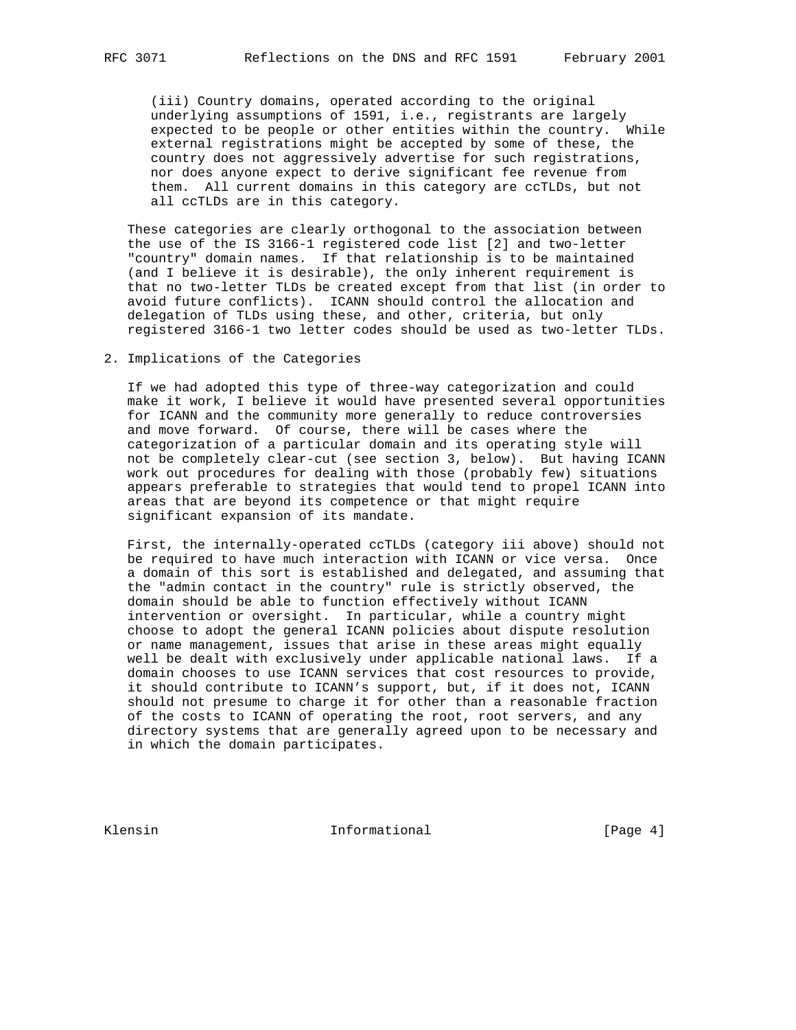(iii) Country domains, operated according to the original underlying assumptions of 1591, i.e., registrants are largely expected to be people or other entities within the country. While external registrations might be accepted by some of these, the country does not aggressively advertise for such registrations, nor does anyone expect to derive significant fee revenue from them. All current domains in this category are ccTLDs, but not all ccTLDs are in this category.

 These categories are clearly orthogonal to the association between the use of the IS 3166-1 registered code list [2] and two-letter "country" domain names. If that relationship is to be maintained (and I believe it is desirable), the only inherent requirement is that no two-letter TLDs be created except from that list (in order to avoid future conflicts). ICANN should control the allocation and delegation of TLDs using these, and other, criteria, but only registered 3166-1 two letter codes should be used as two-letter TLDs.

2. Implications of the Categories

 If we had adopted this type of three-way categorization and could make it work, I believe it would have presented several opportunities for ICANN and the community more generally to reduce controversies and move forward. Of course, there will be cases where the categorization of a particular domain and its operating style will not be completely clear-cut (see section 3, below). But having ICANN work out procedures for dealing with those (probably few) situations appears preferable to strategies that would tend to propel ICANN into areas that are beyond its competence or that might require significant expansion of its mandate.

 First, the internally-operated ccTLDs (category iii above) should not be required to have much interaction with ICANN or vice versa. Once a domain of this sort is established and delegated, and assuming that the "admin contact in the country" rule is strictly observed, the domain should be able to function effectively without ICANN intervention or oversight. In particular, while a country might choose to adopt the general ICANN policies about dispute resolution or name management, issues that arise in these areas might equally well be dealt with exclusively under applicable national laws. If a domain chooses to use ICANN services that cost resources to provide, it should contribute to ICANN's support, but, if it does not, ICANN should not presume to charge it for other than a reasonable fraction of the costs to ICANN of operating the root, root servers, and any directory systems that are generally agreed upon to be necessary and in which the domain participates.

Klensin 10 Informational 1999 [Page 4]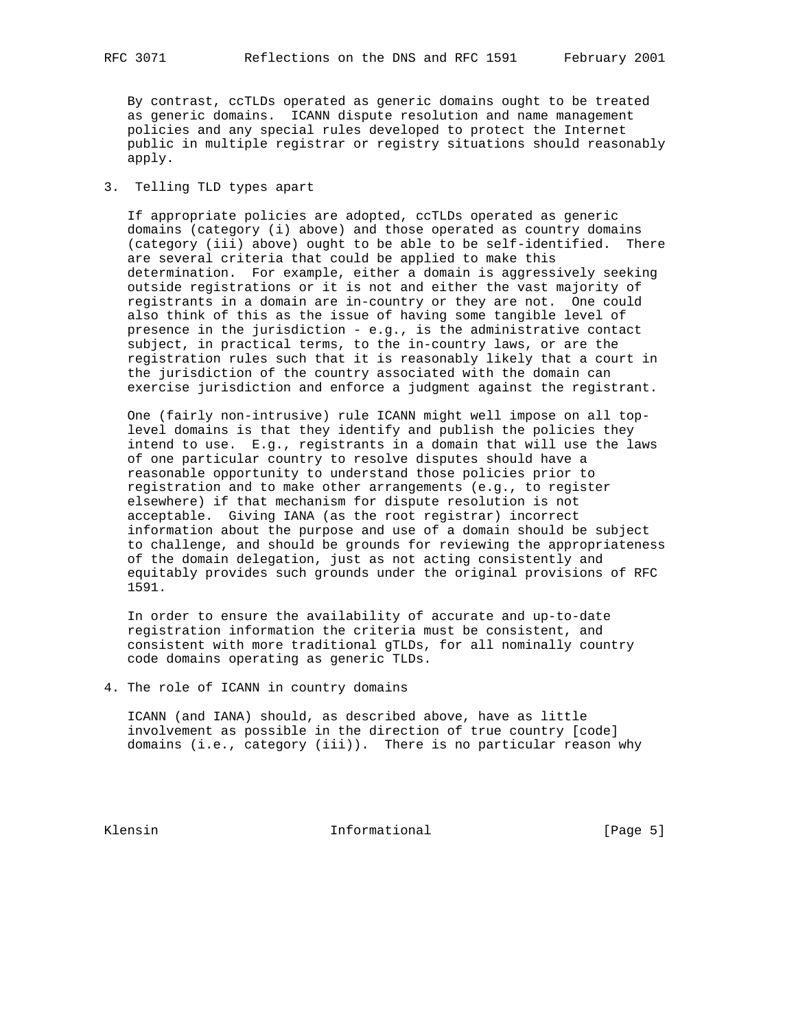By contrast, ccTLDs operated as generic domains ought to be treated as generic domains. ICANN dispute resolution and name management policies and any special rules developed to protect the Internet public in multiple registrar or registry situations should reasonably apply.

## 3. Telling TLD types apart

 If appropriate policies are adopted, ccTLDs operated as generic domains (category (i) above) and those operated as country domains (category (iii) above) ought to be able to be self-identified. There are several criteria that could be applied to make this determination. For example, either a domain is aggressively seeking outside registrations or it is not and either the vast majority of registrants in a domain are in-country or they are not. One could also think of this as the issue of having some tangible level of presence in the jurisdiction - e.g., is the administrative contact subject, in practical terms, to the in-country laws, or are the registration rules such that it is reasonably likely that a court in the jurisdiction of the country associated with the domain can exercise jurisdiction and enforce a judgment against the registrant.

 One (fairly non-intrusive) rule ICANN might well impose on all top level domains is that they identify and publish the policies they intend to use. E.g., registrants in a domain that will use the laws of one particular country to resolve disputes should have a reasonable opportunity to understand those policies prior to registration and to make other arrangements (e.g., to register elsewhere) if that mechanism for dispute resolution is not acceptable. Giving IANA (as the root registrar) incorrect information about the purpose and use of a domain should be subject to challenge, and should be grounds for reviewing the appropriateness of the domain delegation, just as not acting consistently and equitably provides such grounds under the original provisions of RFC 1591.

 In order to ensure the availability of accurate and up-to-date registration information the criteria must be consistent, and consistent with more traditional gTLDs, for all nominally country code domains operating as generic TLDs.

4. The role of ICANN in country domains

 ICANN (and IANA) should, as described above, have as little involvement as possible in the direction of true country [code] domains (i.e., category (iii)). There is no particular reason why

Klensin 10 Informational 1996 [Page 5]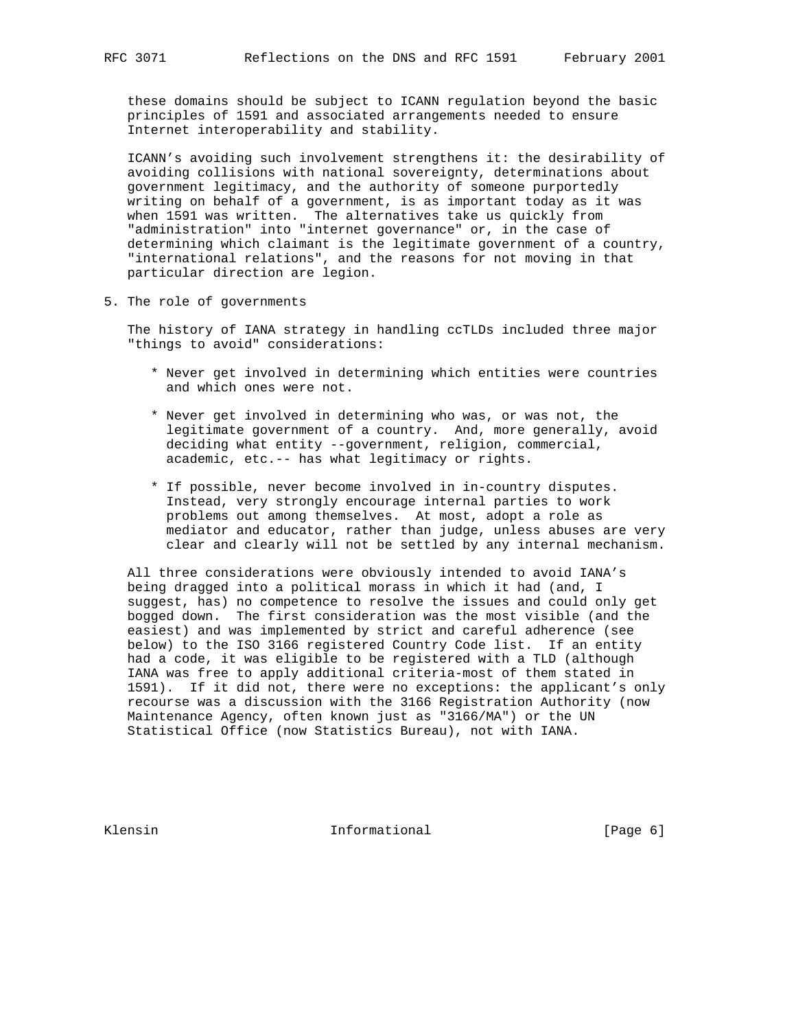these domains should be subject to ICANN regulation beyond the basic principles of 1591 and associated arrangements needed to ensure Internet interoperability and stability.

 ICANN's avoiding such involvement strengthens it: the desirability of avoiding collisions with national sovereignty, determinations about government legitimacy, and the authority of someone purportedly writing on behalf of a government, is as important today as it was when 1591 was written. The alternatives take us quickly from "administration" into "internet governance" or, in the case of determining which claimant is the legitimate government of a country, "international relations", and the reasons for not moving in that particular direction are legion.

5. The role of governments

 The history of IANA strategy in handling ccTLDs included three major "things to avoid" considerations:

- \* Never get involved in determining which entities were countries and which ones were not.
- \* Never get involved in determining who was, or was not, the legitimate government of a country. And, more generally, avoid deciding what entity --government, religion, commercial, academic, etc.-- has what legitimacy or rights.
- \* If possible, never become involved in in-country disputes. Instead, very strongly encourage internal parties to work problems out among themselves. At most, adopt a role as mediator and educator, rather than judge, unless abuses are very clear and clearly will not be settled by any internal mechanism.

 All three considerations were obviously intended to avoid IANA's being dragged into a political morass in which it had (and, I suggest, has) no competence to resolve the issues and could only get bogged down. The first consideration was the most visible (and the easiest) and was implemented by strict and careful adherence (see below) to the ISO 3166 registered Country Code list. If an entity had a code, it was eligible to be registered with a TLD (although IANA was free to apply additional criteria-most of them stated in 1591). If it did not, there were no exceptions: the applicant's only recourse was a discussion with the 3166 Registration Authority (now Maintenance Agency, often known just as "3166/MA") or the UN Statistical Office (now Statistics Bureau), not with IANA.

Klensin 10 Informational [Page 6]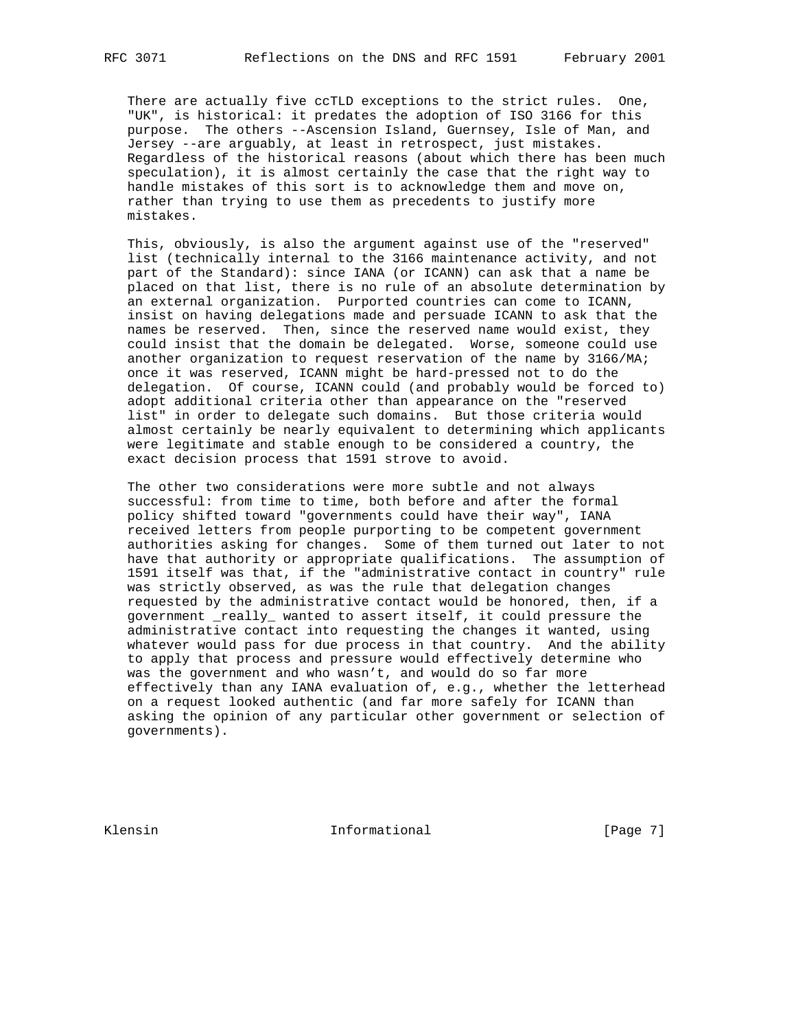There are actually five ccTLD exceptions to the strict rules. One, "UK", is historical: it predates the adoption of ISO 3166 for this purpose. The others --Ascension Island, Guernsey, Isle of Man, and Jersey --are arguably, at least in retrospect, just mistakes. Regardless of the historical reasons (about which there has been much speculation), it is almost certainly the case that the right way to handle mistakes of this sort is to acknowledge them and move on, rather than trying to use them as precedents to justify more mistakes.

 This, obviously, is also the argument against use of the "reserved" list (technically internal to the 3166 maintenance activity, and not part of the Standard): since IANA (or ICANN) can ask that a name be placed on that list, there is no rule of an absolute determination by an external organization. Purported countries can come to ICANN, insist on having delegations made and persuade ICANN to ask that the names be reserved. Then, since the reserved name would exist, they could insist that the domain be delegated. Worse, someone could use another organization to request reservation of the name by 3166/MA; once it was reserved, ICANN might be hard-pressed not to do the delegation. Of course, ICANN could (and probably would be forced to) adopt additional criteria other than appearance on the "reserved list" in order to delegate such domains. But those criteria would almost certainly be nearly equivalent to determining which applicants were legitimate and stable enough to be considered a country, the exact decision process that 1591 strove to avoid.

 The other two considerations were more subtle and not always successful: from time to time, both before and after the formal policy shifted toward "governments could have their way", IANA received letters from people purporting to be competent government authorities asking for changes. Some of them turned out later to not have that authority or appropriate qualifications. The assumption of 1591 itself was that, if the "administrative contact in country" rule was strictly observed, as was the rule that delegation changes requested by the administrative contact would be honored, then, if a government \_really\_ wanted to assert itself, it could pressure the administrative contact into requesting the changes it wanted, using whatever would pass for due process in that country. And the ability to apply that process and pressure would effectively determine who was the government and who wasn't, and would do so far more effectively than any IANA evaluation of, e.g., whether the letterhead on a request looked authentic (and far more safely for ICANN than asking the opinion of any particular other government or selection of governments).

Klensin 10 Informational [Page 7]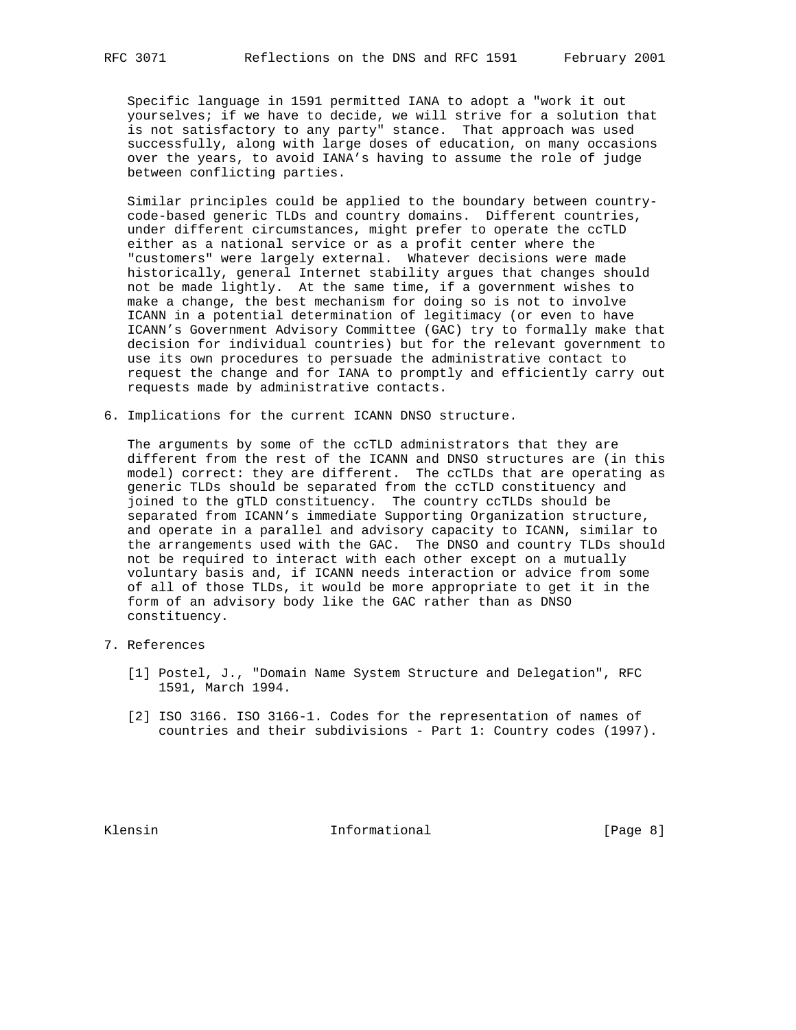Specific language in 1591 permitted IANA to adopt a "work it out yourselves; if we have to decide, we will strive for a solution that is not satisfactory to any party" stance. That approach was used successfully, along with large doses of education, on many occasions over the years, to avoid IANA's having to assume the role of judge between conflicting parties.

 Similar principles could be applied to the boundary between country code-based generic TLDs and country domains. Different countries, under different circumstances, might prefer to operate the ccTLD either as a national service or as a profit center where the "customers" were largely external. Whatever decisions were made historically, general Internet stability argues that changes should not be made lightly. At the same time, if a government wishes to make a change, the best mechanism for doing so is not to involve ICANN in a potential determination of legitimacy (or even to have ICANN's Government Advisory Committee (GAC) try to formally make that decision for individual countries) but for the relevant government to use its own procedures to persuade the administrative contact to request the change and for IANA to promptly and efficiently carry out requests made by administrative contacts.

6. Implications for the current ICANN DNSO structure.

 The arguments by some of the ccTLD administrators that they are different from the rest of the ICANN and DNSO structures are (in this model) correct: they are different. The ccTLDs that are operating as generic TLDs should be separated from the ccTLD constituency and joined to the gTLD constituency. The country ccTLDs should be separated from ICANN's immediate Supporting Organization structure, and operate in a parallel and advisory capacity to ICANN, similar to the arrangements used with the GAC. The DNSO and country TLDs should not be required to interact with each other except on a mutually voluntary basis and, if ICANN needs interaction or advice from some of all of those TLDs, it would be more appropriate to get it in the form of an advisory body like the GAC rather than as DNSO constituency.

- 7. References
	- [1] Postel, J., "Domain Name System Structure and Delegation", RFC 1591, March 1994.
	- [2] ISO 3166. ISO 3166-1. Codes for the representation of names of countries and their subdivisions - Part 1: Country codes (1997).

Klensin 10 Informational 1999 [Page 8]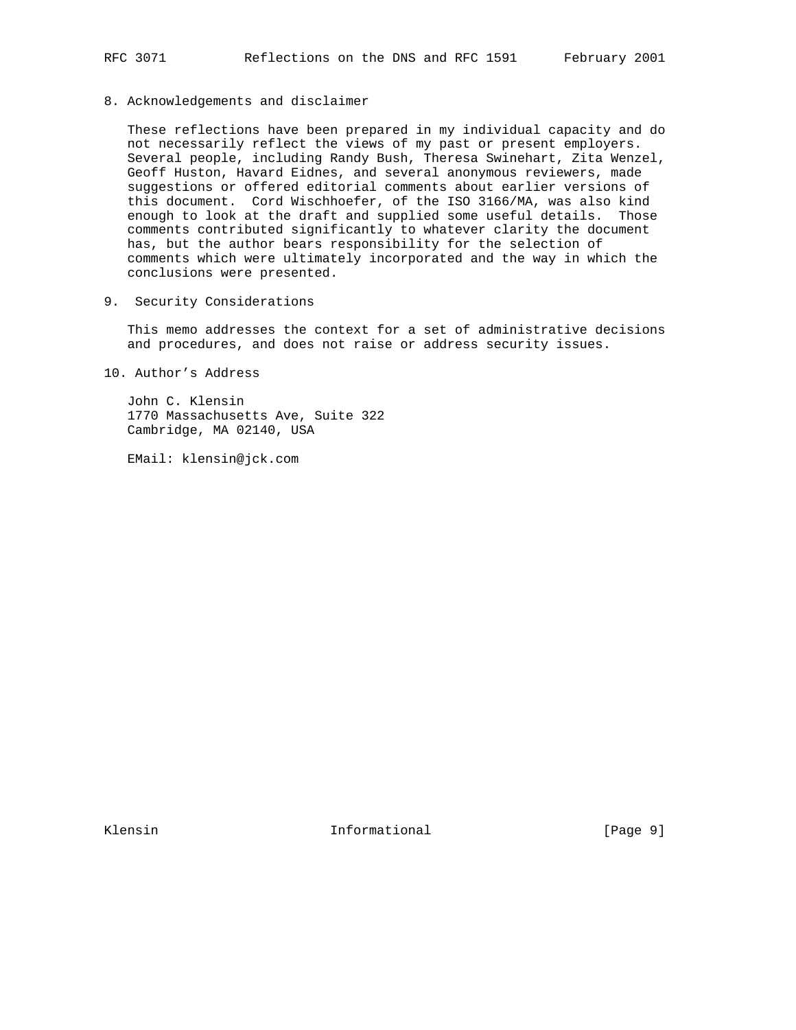8. Acknowledgements and disclaimer

 These reflections have been prepared in my individual capacity and do not necessarily reflect the views of my past or present employers. Several people, including Randy Bush, Theresa Swinehart, Zita Wenzel, Geoff Huston, Havard Eidnes, and several anonymous reviewers, made suggestions or offered editorial comments about earlier versions of this document. Cord Wischhoefer, of the ISO 3166/MA, was also kind enough to look at the draft and supplied some useful details. Those comments contributed significantly to whatever clarity the document has, but the author bears responsibility for the selection of comments which were ultimately incorporated and the way in which the conclusions were presented.

9. Security Considerations

 This memo addresses the context for a set of administrative decisions and procedures, and does not raise or address security issues.

10. Author's Address

 John C. Klensin 1770 Massachusetts Ave, Suite 322 Cambridge, MA 02140, USA

EMail: klensin@jck.com

Klensin 10 Informational 1999 [Page 9]